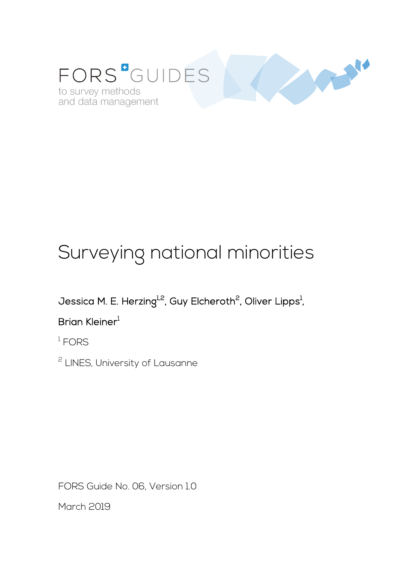

# Surveying national minorities

# Jessica M. E. Herzing<sup>1,2</sup>, Guy Elcheroth<sup>2</sup>, Oliver Lipps<sup>1</sup>,

## Brian Kleiner<sup>1</sup>

 $1$  FORS

<sup>2</sup> LINES, University of Lausanne

FORS Guide No. 06, Version 1.0

March 2019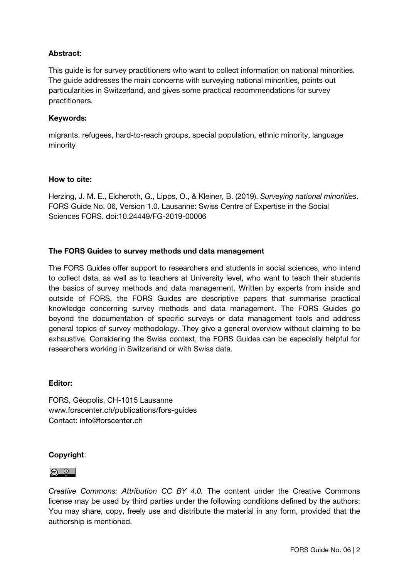## Abstract:

This guide is for survey practitioners who want to collect information on national minorities. The guide addresses the main concerns with surveying national minorities, points out particularities in Switzerland, and gives some practical recommendations for survey practitioners.

#### Keywords:

migrants, refugees, hard-to-reach groups, special population, ethnic minority, language minority

#### How to cite:

Herzing, J. M. E., Elcheroth, G., Lipps, O., & Kleiner, B. (2019). *Surveying national minorities*. FORS Guide No. 06, Version 1.0. Lausanne: Swiss Centre of Expertise in the Social Sciences FORS. doi:10.24449/FG-2019-00006

#### The FORS Guides to survey methods und data management

The FORS Guides offer support to researchers and students in social sciences, who intend to collect data, as well as to teachers at University level, who want to teach their students the basics of survey methods and data management. Written by experts from inside and outside of FORS, the FORS Guides are descriptive papers that summarise practical knowledge concerning survey methods and data management. The FORS Guides go beyond the documentation of specific surveys or data management tools and address general topics of survey methodology. They give a general overview without claiming to be exhaustive. Considering the Swiss context, the FORS Guides can be especially helpful for researchers working in Switzerland or with Swiss data.

#### Editor:

FORS, Géopolis, CH-1015 Lausanne www.forscenter.ch/publications/fors-guides Contact: info@forscenter.ch

#### Copyright:

#### <u>ල 0 |</u>

*Creative Commons: Attribution CC BY 4.0.* The content under the Creative Commons license may be used by third parties under the following conditions defined by the authors: You may share, copy, freely use and distribute the material in any form, provided that the authorship is mentioned.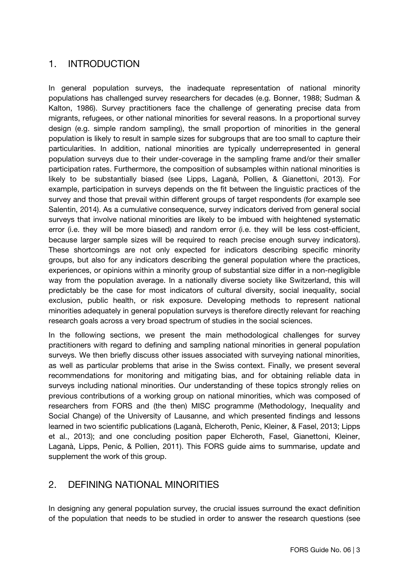## 1. INTRODUCTION

In general population surveys, the inadequate representation of national minority populations has challenged survey researchers for decades (e.g. Bonner, 1988; Sudman & Kalton, 1986). Survey practitioners face the challenge of generating precise data from migrants, refugees, or other national minorities for several reasons. In a proportional survey design (e.g. simple random sampling), the small proportion of minorities in the general population is likely to result in sample sizes for subgroups that are too small to capture their particularities. In addition, national minorities are typically underrepresented in general population surveys due to their under-coverage in the sampling frame and/or their smaller participation rates. Furthermore, the composition of subsamples within national minorities is likely to be substantially biased (see Lipps, Laganà, Pollien, & Gianettoni, 2013). For example, participation in surveys depends on the fit between the linguistic practices of the survey and those that prevail within different groups of target respondents (for example see Salentin, 2014). As a cumulative consequence, survey indicators derived from general social surveys that involve national minorities are likely to be imbued with heightened systematic error (i.e. they will be more biased) and random error (i.e. they will be less cost-efficient, because larger sample sizes will be required to reach precise enough survey indicators). These shortcomings are not only expected for indicators describing specific minority groups, but also for any indicators describing the general population where the practices, experiences, or opinions within a minority group of substantial size differ in a non-negligible way from the population average. In a nationally diverse society like Switzerland, this will predictably be the case for most indicators of cultural diversity, social inequality, social exclusion, public health, or risk exposure. Developing methods to represent national minorities adequately in general population surveys is therefore directly relevant for reaching research goals across a very broad spectrum of studies in the social sciences.

In the following sections, we present the main methodological challenges for survey practitioners with regard to defining and sampling national minorities in general population surveys. We then briefly discuss other issues associated with surveying national minorities, as well as particular problems that arise in the Swiss context. Finally, we present several recommendations for monitoring and mitigating bias, and for obtaining reliable data in surveys including national minorities. Our understanding of these topics strongly relies on previous contributions of a working group on national minorities, which was composed of researchers from FORS and (the then) MISC programme (Methodology, Inequality and Social Change) of the University of Lausanne, and which presented findings and lessons learned in two scientific publications (Laganà, Elcheroth, Penic, Kleiner, & Fasel, 2013; Lipps et al., 2013); and one concluding position paper Elcheroth, Fasel, Gianettoni, Kleiner, Laganà, Lipps, Penic, & Pollien, 2011). This FORS guide aims to summarise, update and supplement the work of this group.

## 2. DEFINING NATIONAL MINORITIES

In designing any general population survey, the crucial issues surround the exact definition of the population that needs to be studied in order to answer the research questions (see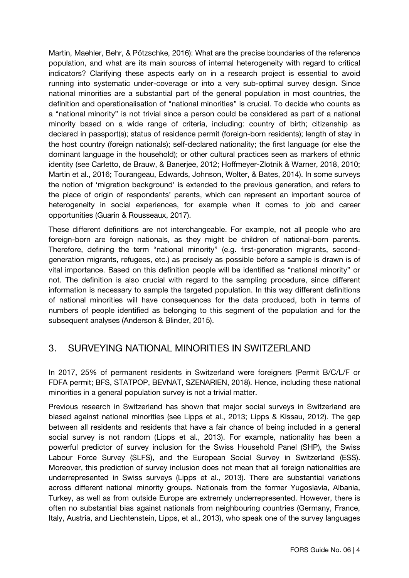Martin, Maehler, Behr, & Pötzschke, 2016): What are the precise boundaries of the reference population, and what are its main sources of internal heterogeneity with regard to critical indicators? Clarifying these aspects early on in a research project is essential to avoid running into systematic under-coverage or into a very sub-optimal survey design. Since national minorities are a substantial part of the general population in most countries, the definition and operationalisation of "national minorities" is crucial. To decide who counts as a "national minority" is not trivial since a person could be considered as part of a national minority based on a wide range of criteria, including: country of birth; citizenship as declared in passport(s); status of residence permit (foreign-born residents); length of stay in the host country (foreign nationals); self-declared nationality; the first language (or else the dominant language in the household); or other cultural practices seen as markers of ethnic identity (see Carletto, de Brauw, & Banerjee, 2012; Hoffmeyer-Zlotnik & Warner, 2018, 2010; Martin et al., 2016; Tourangeau, Edwards, Johnson, Wolter, & Bates, 2014). In some surveys the notion of 'migration background' is extended to the previous generation, and refers to the place of origin of respondents' parents, which can represent an important source of heterogeneity in social experiences, for example when it comes to job and career opportunities (Guarin & Rousseaux, 2017).

These different definitions are not interchangeable. For example, not all people who are foreign-born are foreign nationals, as they might be children of national-born parents. Therefore, defining the term "national minority" (e.g. first-generation migrants, secondgeneration migrants, refugees, etc.) as precisely as possible before a sample is drawn is of vital importance. Based on this definition people will be identified as "national minority" or not. The definition is also crucial with regard to the sampling procedure, since different information is necessary to sample the targeted population. In this way different definitions of national minorities will have consequences for the data produced, both in terms of numbers of people identified as belonging to this segment of the population and for the subsequent analyses (Anderson & Blinder, 2015).

## 3. SURVEYING NATIONAL MINORITIES IN SWITZERLAND

In 2017, 25% of permanent residents in Switzerland were foreigners (Permit B/C/L/F or FDFA permit; BFS, STATPOP, BEVNAT, SZENARIEN, 2018). Hence, including these national minorities in a general population survey is not a trivial matter.

Previous research in Switzerland has shown that major social surveys in Switzerland are biased against national minorities (see Lipps et al., 2013; Lipps & Kissau, 2012). The gap between all residents and residents that have a fair chance of being included in a general social survey is not random (Lipps et al., 2013). For example, nationality has been a powerful predictor of survey inclusion for the Swiss Household Panel (SHP), the Swiss Labour Force Survey (SLFS), and the European Social Survey in Switzerland (ESS). Moreover, this prediction of survey inclusion does not mean that all foreign nationalities are underrepresented in Swiss surveys (Lipps et al., 2013). There are substantial variations across different national minority groups. Nationals from the former Yugoslavia, Albania, Turkey, as well as from outside Europe are extremely underrepresented. However, there is often no substantial bias against nationals from neighbouring countries (Germany, France, Italy, Austria, and Liechtenstein, Lipps, et al., 2013), who speak one of the survey languages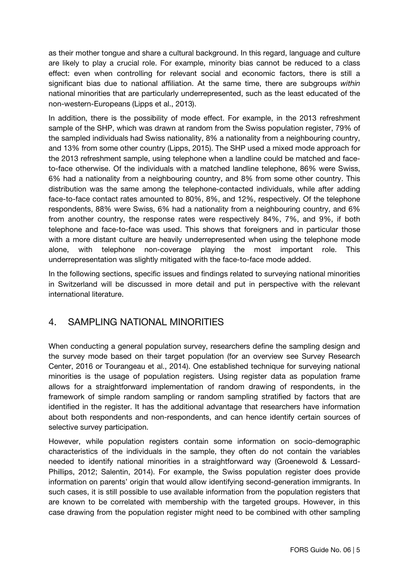as their mother tongue and share a cultural background. In this regard, language and culture are likely to play a crucial role. For example, minority bias cannot be reduced to a class effect: even when controlling for relevant social and economic factors, there is still a significant bias due to national affiliation. At the same time, there are subgroups *within*  national minorities that are particularly underrepresented, such as the least educated of the non-western-Europeans (Lipps et al., 2013).

In addition, there is the possibility of mode effect. For example, in the 2013 refreshment sample of the SHP, which was drawn at random from the Swiss population register, 79% of the sampled individuals had Swiss nationality, 8% a nationality from a neighbouring country, and 13% from some other country (Lipps, 2015). The SHP used a mixed mode approach for the 2013 refreshment sample, using telephone when a landline could be matched and faceto-face otherwise. Of the individuals with a matched landline telephone, 86% were Swiss, 6% had a nationality from a neighbouring country, and 8% from some other country. This distribution was the same among the telephone-contacted individuals, while after adding face-to-face contact rates amounted to 80%, 8%, and 12%, respectively. Of the telephone respondents, 88% were Swiss, 6% had a nationality from a neighbouring country, and 6% from another country, the response rates were respectively 84%, 7%, and 9%, if both telephone and face-to-face was used. This shows that foreigners and in particular those with a more distant culture are heavily underrepresented when using the telephone mode alone, with telephone non-coverage playing the most important role. This underrepresentation was slightly mitigated with the face-to-face mode added.

In the following sections, specific issues and findings related to surveying national minorities in Switzerland will be discussed in more detail and put in perspective with the relevant international literature.

## 4. SAMPLING NATIONAL MINORITIES

When conducting a general population survey, researchers define the sampling design and the survey mode based on their target population (for an overview see Survey Research Center, 2016 or Tourangeau et al., 2014). One established technique for surveying national minorities is the usage of population registers. Using register data as population frame allows for a straightforward implementation of random drawing of respondents, in the framework of simple random sampling or random sampling stratified by factors that are identified in the register. It has the additional advantage that researchers have information about both respondents and non-respondents, and can hence identify certain sources of selective survey participation.

However, while population registers contain some information on socio-demographic characteristics of the individuals in the sample, they often do not contain the variables needed to identify national minorities in a straightforward way (Groenewold & Lessard-Phillips, 2012; Salentin, 2014). For example, the Swiss population register does provide information on parents' origin that would allow identifying second-generation immigrants. In such cases, it is still possible to use available information from the population registers that are known to be correlated with membership with the targeted groups. However, in this case drawing from the population register might need to be combined with other sampling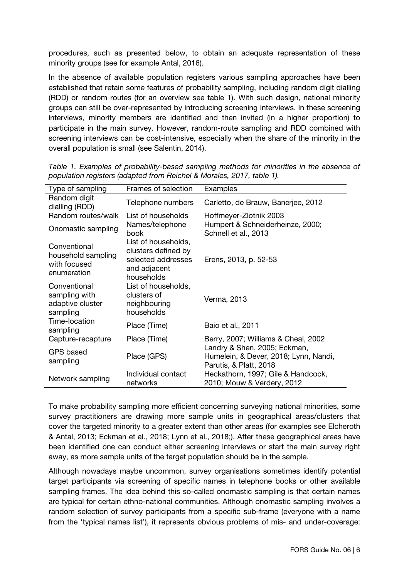procedures, such as presented below, to obtain an adequate representation of these minority groups (see for example Antal, 2016).

In the absence of available population registers various sampling approaches have been established that retain some features of probability sampling, including random digit dialling (RDD) or random routes (for an overview see table 1). With such design, national minority groups can still be over-represented by introducing screening interviews. In these screening interviews, minority members are identified and then invited (in a higher proportion) to participate in the main survey. However, random-route sampling and RDD combined with screening interviews can be cost-intensive, especially when the share of the minority in the overall population is small (see Salentin, 2014).

| Type of sampling                                                  | Frames of selection                                                                            | Examples                                                                                        |
|-------------------------------------------------------------------|------------------------------------------------------------------------------------------------|-------------------------------------------------------------------------------------------------|
| Random digit<br>dialling (RDD)                                    | Telephone numbers                                                                              | Carletto, de Brauw, Banerjee, 2012                                                              |
| Random routes/walk                                                | List of households                                                                             | Hoffmeyer-Zlotnik 2003                                                                          |
| Onomastic sampling                                                | Names/telephone<br>book                                                                        | Humpert & Schneiderheinze, 2000;<br>Schnell et al., 2013                                        |
| Conventional<br>household sampling<br>with focused<br>enumeration | List of households,<br>clusters defined by<br>selected addresses<br>and adjacent<br>households | Erens, 2013, p. 52-53                                                                           |
| Conventional<br>sampling with<br>adaptive cluster<br>sampling     | List of households,<br>clusters of<br>neighbouring<br>households                               | Verma, 2013                                                                                     |
| Time-location<br>sampling                                         | Place (Time)                                                                                   | Baio et al., 2011                                                                               |
| Capture-recapture                                                 | Place (Time)                                                                                   | Berry, 2007; Williams & Cheal, 2002                                                             |
| <b>GPS</b> based<br>sampling                                      | Place (GPS)                                                                                    | Landry & Shen, 2005; Eckman,<br>Humelein, & Dever, 2018; Lynn, Nandi,<br>Parutis, & Platt, 2018 |
| Network sampling                                                  | Individual contact<br>networks                                                                 | Heckathorn, 1997; Gile & Handcock,<br>2010; Mouw & Verdery, 2012                                |

*Table 1. Examples of probability-based sampling methods for minorities in the absence of population registers (adapted from Reichel & Morales, 2017, table 1).*

To make probability sampling more efficient concerning surveying national minorities, some survey practitioners are drawing more sample units in geographical areas/clusters that cover the targeted minority to a greater extent than other areas (for examples see Elcheroth & Antal, 2013; Eckman et al., 2018; Lynn et al., 2018;). After these geographical areas have been identified one can conduct either screening interviews or start the main survey right away, as more sample units of the target population should be in the sample.

Although nowadays maybe uncommon, survey organisations sometimes identify potential target participants via screening of specific names in telephone books or other available sampling frames. The idea behind this so-called onomastic sampling is that certain names are typical for certain ethno-national communities. Although onomastic sampling involves a random selection of survey participants from a specific sub-frame (everyone with a name from the 'typical names list'), it represents obvious problems of mis- and under-coverage: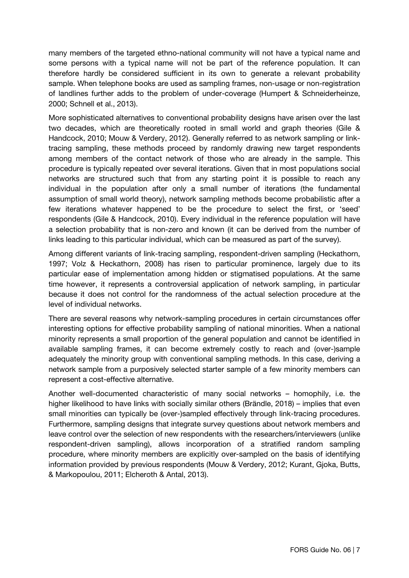many members of the targeted ethno-national community will not have a typical name and some persons with a typical name will not be part of the reference population. It can therefore hardly be considered sufficient in its own to generate a relevant probability sample. When telephone books are used as sampling frames, non-usage or non-registration of landlines further adds to the problem of under-coverage (Humpert & Schneiderheinze, 2000; Schnell et al., 2013).

More sophisticated alternatives to conventional probability designs have arisen over the last two decades, which are theoretically rooted in small world and graph theories (Gile & Handcock, 2010; Mouw & Verdery, 2012). Generally referred to as network sampling or linktracing sampling, these methods proceed by randomly drawing new target respondents among members of the contact network of those who are already in the sample. This procedure is typically repeated over several iterations. Given that in most populations social networks are structured such that from any starting point it is possible to reach any individual in the population after only a small number of iterations (the fundamental assumption of small world theory), network sampling methods become probabilistic after a few iterations whatever happened to be the procedure to select the first, or 'seed' respondents (Gile & Handcock, 2010). Every individual in the reference population will have a selection probability that is non-zero and known (it can be derived from the number of links leading to this particular individual, which can be measured as part of the survey).

Among different variants of link-tracing sampling, respondent-driven sampling (Heckathorn, 1997; Volz & Heckathorn, 2008) has risen to particular prominence, largely due to its particular ease of implementation among hidden or stigmatised populations. At the same time however, it represents a controversial application of network sampling, in particular because it does not control for the randomness of the actual selection procedure at the level of individual networks.

There are several reasons why network-sampling procedures in certain circumstances offer interesting options for effective probability sampling of national minorities. When a national minority represents a small proportion of the general population and cannot be identified in available sampling frames, it can become extremely costly to reach and (over-)sample adequately the minority group with conventional sampling methods. In this case, deriving a network sample from a purposively selected starter sample of a few minority members can represent a cost-effective alternative.

Another well-documented characteristic of many social networks – homophily, i.e. the higher likelihood to have links with socially similar others (Brändle, 2018) – implies that even small minorities can typically be (over-)sampled effectively through link-tracing procedures. Furthermore, sampling designs that integrate survey questions about network members and leave control over the selection of new respondents with the researchers/interviewers (unlike respondent-driven sampling), allows incorporation of a stratified random sampling procedure, where minority members are explicitly over-sampled on the basis of identifying information provided by previous respondents (Mouw & Verdery, 2012; Kurant, Gjoka, Butts, & Markopoulou, 2011; Elcheroth & Antal, 2013).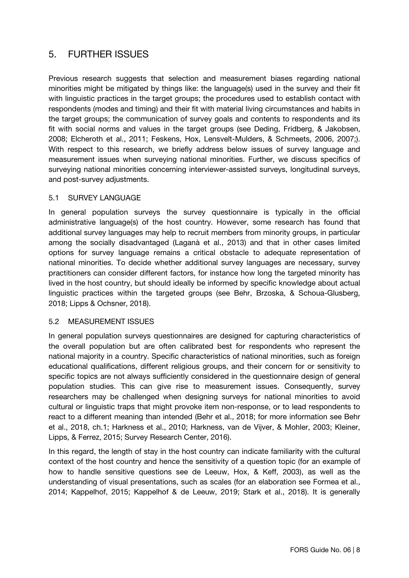## 5. FURTHER ISSUES

Previous research suggests that selection and measurement biases regarding national minorities might be mitigated by things like: the language(s) used in the survey and their fit with linguistic practices in the target groups; the procedures used to establish contact with respondents (modes and timing) and their fit with material living circumstances and habits in the target groups; the communication of survey goals and contents to respondents and its fit with social norms and values in the target groups (see Deding, Fridberg, & Jakobsen, 2008; Elcheroth et al., 2011; Feskens, Hox, Lensvelt-Mulders, & Schmeets, 2006, 2007;). With respect to this research, we briefly address below issues of survey language and measurement issues when surveying national minorities. Further, we discuss specifics of surveying national minorities concerning interviewer-assisted surveys, longitudinal surveys, and post-survey adjustments.

#### 5.1 SURVEY LANGUAGE

In general population surveys the survey questionnaire is typically in the official administrative language(s) of the host country. However, some research has found that additional survey languages may help to recruit members from minority groups, in particular among the socially disadvantaged (Laganà et al., 2013) and that in other cases limited options for survey language remains a critical obstacle to adequate representation of national minorities. To decide whether additional survey languages are necessary, survey practitioners can consider different factors, for instance how long the targeted minority has lived in the host country, but should ideally be informed by specific knowledge about actual linguistic practices within the targeted groups (see Behr, Brzoska, & Schoua-Glusberg, 2018; Lipps & Ochsner, 2018).

#### 5.2 MEASUREMENT ISSUES

In general population surveys questionnaires are designed for capturing characteristics of the overall population but are often calibrated best for respondents who represent the national majority in a country. Specific characteristics of national minorities, such as foreign educational qualifications, different religious groups, and their concern for or sensitivity to specific topics are not always sufficiently considered in the questionnaire design of general population studies. This can give rise to measurement issues. Consequently, survey researchers may be challenged when designing surveys for national minorities to avoid cultural or linguistic traps that might provoke item non-response, or to lead respondents to react to a different meaning than intended (Behr et al., 2018; for more information see Behr et al., 2018, ch.1; Harkness et al., 2010; Harkness, van de Vijver, & Mohler, 2003; Kleiner, Lipps, & Ferrez, 2015; Survey Research Center, 2016).

In this regard, the length of stay in the host country can indicate familiarity with the cultural context of the host country and hence the sensitivity of a question topic (for an example of how to handle sensitive questions see de Leeuw, Hox, & Keff, 2003), as well as the understanding of visual presentations, such as scales (for an elaboration see Formea et al., 2014; Kappelhof, 2015; Kappelhof & de Leeuw, 2019; Stark et al., 2018). It is generally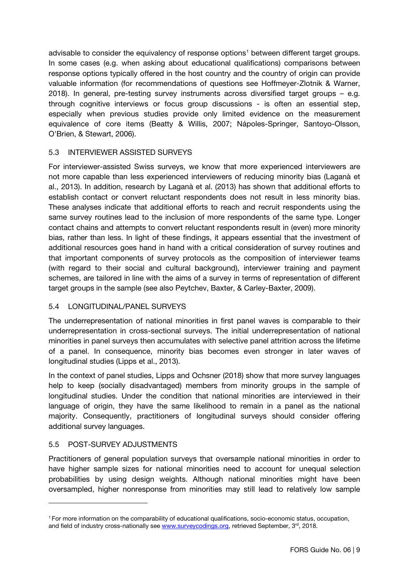advisable to consider the equivalency of response options<sup>[1](#page-8-0)</sup> between different target groups. In some cases (e.g. when asking about educational qualifications) comparisons between response options typically offered in the host country and the country of origin can provide valuable information (for recommendations of questions see Hoffmeyer-Zlotnik & Warner, 2018). In general, pre-testing survey instruments across diversified target groups – e.g. through cognitive interviews or focus group discussions - is often an essential step, especially when previous studies provide only limited evidence on the measurement equivalence of core items (Beatty & Willis, 2007; Nápoles-Springer, Santoyo-Olsson, O'Brien, & Stewart, 2006).

## 5.3 INTERVIEWER ASSISTED SURVEYS

For interviewer-assisted Swiss surveys, we know that more experienced interviewers are not more capable than less experienced interviewers of reducing minority bias (Laganà et al., 2013). In addition, research by Laganà et al. (2013) has shown that additional efforts to establish contact or convert reluctant respondents does not result in less minority bias. These analyses indicate that additional efforts to reach and recruit respondents using the same survey routines lead to the inclusion of more respondents of the same type. Longer contact chains and attempts to convert reluctant respondents result in (even) more minority bias, rather than less. In light of these findings, it appears essential that the investment of additional resources goes hand in hand with a critical consideration of survey routines and that important components of survey protocols as the composition of interviewer teams (with regard to their social and cultural background), interviewer training and payment schemes, are tailored in line with the aims of a survey in terms of representation of different target groups in the sample (see also Peytchev, Baxter, & Carley-Baxter, 2009).

## 5.4 LONGITUDINAL/PANEL SURVEYS

The underrepresentation of national minorities in first panel waves is comparable to their underrepresentation in cross-sectional surveys. The initial underrepresentation of national minorities in panel surveys then accumulates with selective panel attrition across the lifetime of a panel. In consequence, minority bias becomes even stronger in later waves of longitudinal studies (Lipps et al., 2013).

In the context of panel studies, Lipps and Ochsner (2018) show that more survey languages help to keep (socially disadvantaged) members from minority groups in the sample of longitudinal studies. Under the condition that national minorities are interviewed in their language of origin, they have the same likelihood to remain in a panel as the national majority. Consequently, practitioners of longitudinal surveys should consider offering additional survey languages.

## 5.5 POST-SURVEY ADJUSTMENTS

 $\overline{a}$ 

Practitioners of general population surveys that oversample national minorities in order to have higher sample sizes for national minorities need to account for unequal selection probabilities by using design weights. Although national minorities might have been oversampled, higher nonresponse from minorities may still lead to relatively low sample

<span id="page-8-0"></span><sup>1</sup> For more information on the comparability of educational qualifications, socio-economic status, occupation, and field of industry cross-nationally se[e www.surveycodings.org,](http://www.surveycodings.org/) retrieved September, 3rd, 2018.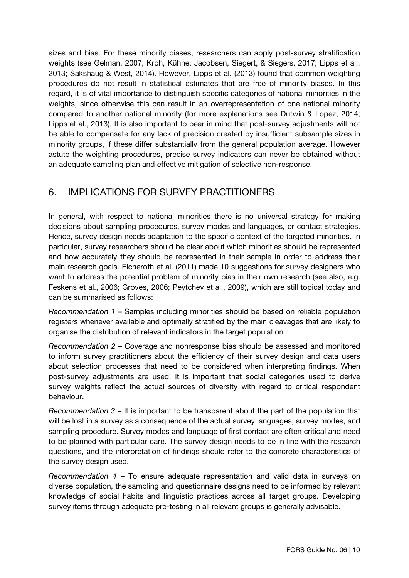sizes and bias. For these minority biases, researchers can apply post-survey stratification weights (see Gelman, 2007; Kroh, Kühne, Jacobsen, Siegert, & Siegers, 2017; Lipps et al., 2013; Sakshaug & West, 2014). However, Lipps et al. (2013) found that common weighting procedures do not result in statistical estimates that are free of minority biases. In this regard, it is of vital importance to distinguish specific categories of national minorities in the weights, since otherwise this can result in an overrepresentation of one national minority compared to another national minority (for more explanations see Dutwin & Lopez, 2014; Lipps et al., 2013). It is also important to bear in mind that post-survey adjustments will not be able to compensate for any lack of precision created by insufficient subsample sizes in minority groups, if these differ substantially from the general population average. However astute the weighting procedures, precise survey indicators can never be obtained without an adequate sampling plan and effective mitigation of selective non-response.

## 6. IMPLICATIONS FOR SURVEY PRACTITIONERS

In general, with respect to national minorities there is no universal strategy for making decisions about sampling procedures, survey modes and languages, or contact strategies. Hence, survey design needs adaptation to the specific context of the targeted minorities. In particular, survey researchers should be clear about which minorities should be represented and how accurately they should be represented in their sample in order to address their main research goals. Elcheroth et al. (2011) made 10 suggestions for survey designers who want to address the potential problem of minority bias in their own research (see also, e.g. Feskens et al., 2006; Groves, 2006; Peytchev et al., 2009), which are still topical today and can be summarised as follows:

*Recommendation 1* – Samples including minorities should be based on reliable population registers whenever available and optimally stratified by the main cleavages that are likely to organise the distribution of relevant indicators in the target population

*Recommendation 2* – Coverage and nonresponse bias should be assessed and monitored to inform survey practitioners about the efficiency of their survey design and data users about selection processes that need to be considered when interpreting findings. When post-survey adjustments are used, it is important that social categories used to derive survey weights reflect the actual sources of diversity with regard to critical respondent behaviour.

*Recommendation 3* – It is important to be transparent about the part of the population that will be lost in a survey as a consequence of the actual survey languages, survey modes, and sampling procedure. Survey modes and language of first contact are often critical and need to be planned with particular care. The survey design needs to be in line with the research questions, and the interpretation of findings should refer to the concrete characteristics of the survey design used.

*Recommendation 4* – To ensure adequate representation and valid data in surveys on diverse population, the sampling and questionnaire designs need to be informed by relevant knowledge of social habits and linguistic practices across all target groups. Developing survey items through adequate pre-testing in all relevant groups is generally advisable.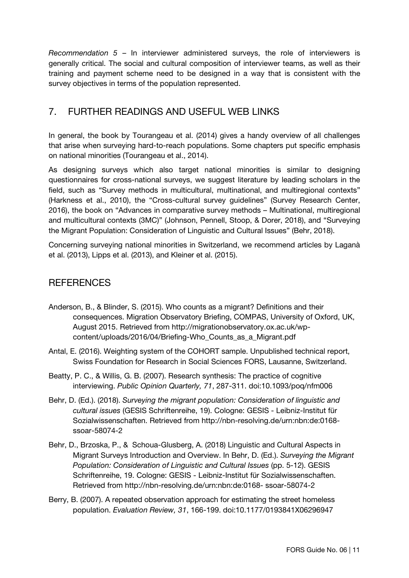*Recommendation 5* – In interviewer administered surveys, the role of interviewers is generally critical. The social and cultural composition of interviewer teams, as well as their training and payment scheme need to be designed in a way that is consistent with the survey objectives in terms of the population represented.

## 7. FURTHER READINGS AND USEFUL WEB LINKS

In general, the book by Tourangeau et al. (2014) gives a handy overview of all challenges that arise when surveying hard-to-reach populations. Some chapters put specific emphasis on national minorities (Tourangeau et al., 2014).

As designing surveys which also target national minorities is similar to designing questionnaires for cross-national surveys, we suggest literature by leading scholars in the field, such as "Survey methods in multicultural, multinational, and multiregional contexts" (Harkness et al., 2010), the "Cross-cultural survey guidelines" (Survey Research Center, 2016), the book on "Advances in comparative survey methods – Multinational, multiregional and multicultural contexts (3MC)" (Johnson, Pennell, Stoop, & Dorer, 2018), and "Surveying the Migrant Population: Consideration of Linguistic and Cultural Issues" (Behr, 2018).

Concerning surveying national minorities in Switzerland, we recommend articles by Laganà et al. (2013), Lipps et al. (2013), and Kleiner et al. (2015).

## REFERENCES

- Anderson, B., & Blinder, S. (2015). Who counts as a migrant? Definitions and their consequences. Migration Observatory Briefing, COMPAS, University of Oxford, UK, August 2015. Retrieved from http://migrationobservatory.ox.ac.uk/wpcontent/uploads/2016/04/Briefing-Who\_Counts\_as\_a\_Migrant.pdf
- Antal, E. (2016). Weighting system of the COHORT sample. Unpublished technical report, Swiss Foundation for Research in Social Sciences FORS, Lausanne, Switzerland.
- Beatty, P. C., & Willis, G. B. (2007). Research synthesis: The practice of cognitive interviewing. *Public Opinion Quarterly, 71*, 287-311. doi:10.1093/poq/nfm006
- Behr, D. (Ed.). (2018). *Surveying the migrant population: Consideration of linguistic and cultural issues* (GESIS Schriftenreihe, 19). Cologne: GESIS - Leibniz-Institut für Sozialwissenschaften. Retrieved from http://nbn-resolving.de/urn:nbn:de:0168 ssoar-58074-2
- Behr, D., Brzoska, P., & Schoua-Glusberg, A. (2018) Linguistic and Cultural Aspects in Migrant Surveys Introduction and Overview. In Behr, D. (Ed.). *Surveying the Migrant Population: Consideration of Linguistic and Cultural Issues* (pp. 5-12). GESIS Schriftenreihe, 19. Cologne: GESIS - Leibniz-Institut für Sozialwissenschaften. Retrieved from http://nbn-resolving.de/urn:nbn:de:0168- ssoar-58074-2
- Berry, B. (2007). A repeated observation approach for estimating the street homeless population. *Evaluation Review, 31*, 166-199. doi:10.1177/0193841X06296947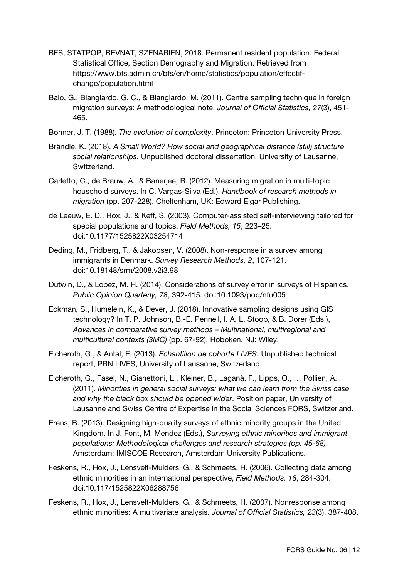- BFS, STATPOP, BEVNAT, SZENARIEN, 2018. Permanent resident population. Federal Statistical Office, Section Demography and Migration. Retrieved from https://www.bfs.admin.ch/bfs/en/home/statistics/population/effectifchange/population.html
- Baio, G., Blangiardo, G. C., & Blangiardo, M. (2011). Centre sampling technique in foreign migration surveys: A methodological note. *Journal of Official Statistics, 27*(3), 451- 465.
- Bonner, J. T. (1988). *The evolution of complexity*. Princeton: Princeton University Press.
- Brändle, K. (2018). *A Small World? How social and geographical distance (still) structure social relationships.* Unpublished doctoral dissertation, University of Lausanne, Switzerland.
- Carletto, C., de Brauw, A., & Banerjee, R. (2012). Measuring migration in multi-topic household surveys. In C. Vargas-Silva (Ed.), *Handbook of research methods in migration* (pp. 207-228). Cheltenham, UK: Edward Elgar Publishing.
- de Leeuw, E. D., Hox, J., & Keff, S. (2003). Computer-assisted self-interviewing tailored for special populations and topics. *Field Methods, 15*, 223–25. doi:10.1177/1525822X03254714
- Deding, M., Fridberg, T., & Jakobsen, V. (2008). Non-response in a survey among immigrants in Denmark. *Survey Research Methods, 2*, 107-121. doi:10.18148/srm/2008.v2i3.98
- Dutwin, D., & Lopez, M. H. (2014). Considerations of survey error in surveys of Hispanics. *Public Opinion Quarterly, 78*, 392-415. doi:10.1093/poq/nfu005
- Eckman, S., Humelein, K., & Dever, J. (2018). Innovative sampling designs using GIS technology? In T. P. Johnson, B.-E. Pennell, I. A. L. Stoop, & B. Dorer (Eds.), *Advances in comparative survey methods – Multinational, multiregional and multicultural contexts (3MC)* (pp. 67-92). Hoboken, NJ: Wiley.
- Elcheroth, G., & Antal, E. (2013). *Echantillon de cohorte LIVES.* Unpublished technical report, PRN LIVES, University of Lausanne, Switzerland.
- Elcheroth, G., Fasel, N., Gianettoni, L., Kleiner, B., Laganà, F., Lipps, O., … Pollien, A. (2011). *Minorities in general social surveys: what we can learn from the Swiss case and why the black box should be opened wider*. Position paper, University of Lausanne and Swiss Centre of Expertise in the Social Sciences FORS, Switzerland.
- Erens, B. (2013). Designing high-quality surveys of ethnic minority groups in the United Kingdom. In J. Font, M. Mendez (Eds.), *Surveying ethnic minorities and immigrant populations: Methodological challenges and research strategies (pp. 45-68)*. Amsterdam: IMISCOE Research, Amsterdam University Publications.
- Feskens, R., Hox, J., Lensvelt-Mulders, G., & Schmeets, H. (2006). Collecting data among ethnic minorities in an international perspective, *Field Methods, 18*, 284-304. doi:10.117/1525822X06288756
- Feskens, R., Hox, J., Lensvelt-Mulders, G., & Schmeets, H. (2007). Nonresponse among ethnic minorities: A multivariate analysis. *Journal of Official Statistics, 23*(3), 387-408.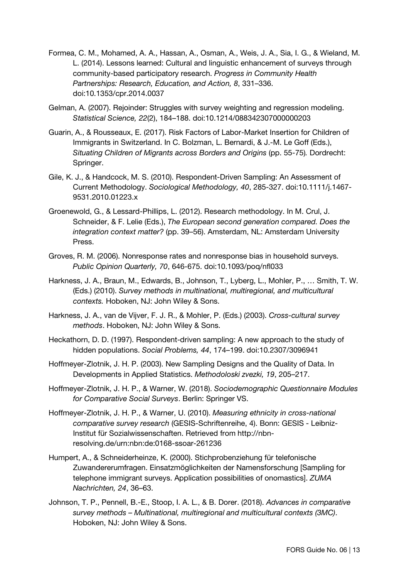- Formea, C. M., Mohamed, A. A., Hassan, A., Osman, A., Weis, J. A., Sia, I. G., & Wieland, M. L. (2014). Lessons learned: Cultural and linguistic enhancement of surveys through community-based participatory research. *Progress in Community Health Partnerships: Research, Education, and Action, 8*, 331–336. doi:10.1353/cpr.2014.0037
- Gelman, A. (2007). Rejoinder: Struggles with survey weighting and regression modeling. *Statistical Science, 22*(2), 184–188. doi:10.1214/088342307000000203
- Guarin, A., & Rousseaux, E. (2017). Risk Factors of Labor-Market Insertion for Children of Immigrants in Switzerland. In C. Bolzman, L. Bernardi, & J.-M. Le Goff (Eds.), *Situating Children of Migrants across Borders and Origins* (pp. 55-75)*.* Dordrecht: Springer.
- Gile, K. J., & Handcock, M. S. (2010). Respondent-Driven Sampling: An Assessment of Current Methodology. *Sociological Methodology, 40*, 285-327. doi:10.1111/j.1467- 9531.2010.01223.x
- Groenewold, G., & Lessard-Phillips, L. (2012). Research methodology. In M. Crul, J. Schneider, & F. Lelie (Eds.), *The European second generation compared. Does the integration context matter?* (pp. 39–56). Amsterdam, NL: Amsterdam University Press.
- Groves, R. M. (2006). Nonresponse rates and nonresponse bias in household surveys. *Public Opinion Quarterly, 70*, 646-675. doi:10.1093/poq/nfl033
- Harkness, J. A., Braun, M., Edwards, B., Johnson, T., Lyberg, L., Mohler, P., … Smith, T. W. (Eds.) (2010). *Survey methods in multinational, multiregional, and multicultural contexts.* Hoboken, NJ: John Wiley & Sons.
- Harkness, J. A., van de Vijver, F. J. R., & Mohler, P. (Eds.) (2003). *Cross-cultural survey methods*. Hoboken, NJ: John Wiley & Sons.
- Heckathorn, D. D. (1997). Respondent-driven sampling: A new approach to the study of hidden populations. *Social Problems, 44*, 174–199. doi:10.2307/3096941
- Hoffmeyer-Zlotnik, J. H. P. (2003). New Sampling Designs and the Quality of Data. In Developments in Applied Statistics. *Methodoloski zvezki, 19*, 205–217.
- Hoffmeyer-Zlotnik, J. H. P., & Warner, W. (2018). *Sociodemographic Questionnaire Modules for Comparative Social Surveys*. Berlin: Springer VS.
- Hoffmeyer-Zlotnik, J. H. P., & Warner, U. (2010). *Measuring ethnicity in cross-national comparative survey research* (GESIS-Schriftenreihe, 4). Bonn: GESIS - Leibniz-Institut für Sozialwissenschaften. Retrieved from http://nbnresolving.de/urn:nbn:de:0168-ssoar-261236
- Humpert, A., & Schneiderheinze, K. (2000). Stichprobenziehung für telefonische Zuwandererumfragen. Einsatzmöglichkeiten der Namensforschung [Sampling for telephone immigrant surveys. Application possibilities of onomastics]. *ZUMA Nachrichten, 24*, 36–63.
- Johnson, T. P., Pennell, B.-E., Stoop, I. A. L., & B. Dorer. (2018). *Advances in comparative survey methods – Multinational, multiregional and multicultural contexts (3MC)*. Hoboken, NJ: John Wiley & Sons.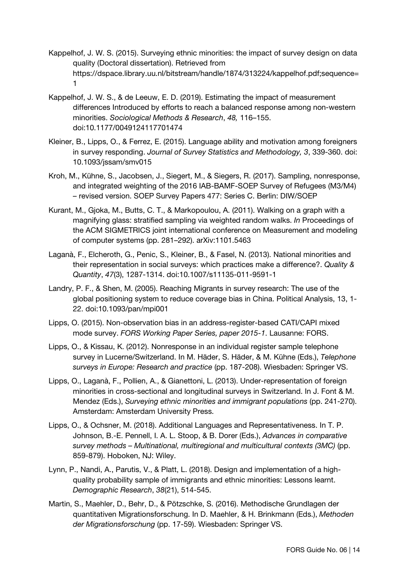- Kappelhof, J. W. S. (2015). Surveying ethnic minorities: the impact of survey design on data quality (Doctoral dissertation). Retrieved from https://dspace.library.uu.nl/bitstream/handle/1874/313224/kappelhof.pdf;sequence= 1
- Kappelhof, J. W. S., & de Leeuw, E. D. (2019). Estimating the impact of measurement differences Introduced by efforts to reach a balanced response among non-western minorities. *Sociological Methods & Research*, *48,* 116–155. doi:10.1177/0049124117701474
- Kleiner, B., Lipps, O., & Ferrez, E. (2015). Language ability and motivation among foreigners in survey responding. *Journal of Survey Statistics and Methodology, 3*, 339-360. doi: 10.1093/jssam/smv015
- Kroh, M., Kühne, S., Jacobsen, J., Siegert, M., & Siegers, R. (2017). Sampling, nonresponse, and integrated weighting of the 2016 IAB-BAMF-SOEP Survey of Refugees (M3/M4) – revised version. SOEP Survey Papers 477: Series C. Berlin: DIW/SOEP
- Kurant, M., Gjoka, M., Butts, C. T., & Markopoulou, A. (2011). Walking on a graph with a magnifying glass: stratified sampling via weighted random walks. *In* Proceedings of the ACM SIGMETRICS joint international conference on Measurement and modeling of computer systems (pp. 281–292). arXiv:1101.5463
- Laganà, F., Elcheroth, G., Penic, S., Kleiner, B., & Fasel, N. (2013). National minorities and their representation in social surveys: which practices make a difference?. *Quality & Quantity*, *47*(3), 1287-1314. doi:10.1007/s11135-011-9591-1
- Landry, P. F., & Shen, M. (2005). Reaching Migrants in survey research: The use of the global positioning system to reduce coverage bias in China. Political Analysis, 13, 1- 22. doi:10.1093/pan/mpi001
- Lipps, O. (2015). Non-observation bias in an address-register-based CATI/CAPI mixed mode survey. *FORS Working Paper Series, paper 2015-1*. Lausanne: FORS.
- Lipps, O., & Kissau, K. (2012). Nonresponse in an individual register sample telephone survey in Lucerne/Switzerland. In M. Häder, S. Häder, & M. Kühne (Eds.), *Telephone surveys in Europe: Research and practice* (pp. 187-208). Wiesbaden: Springer VS.
- Lipps, O., Laganà, F., Pollien, A., & Gianettoni, L. (2013). Under-representation of foreign minorities in cross-sectional and longitudinal surveys in Switzerland. In J. Font & M. Mendez (Eds.), *Surveying ethnic minorities and immigrant populations* (pp. 241-270). Amsterdam: Amsterdam University Press.
- Lipps, O., & Ochsner, M. (2018). Additional Languages and Representativeness. In T. P. Johnson, B.-E. Pennell, I. A. L. Stoop, & B. Dorer (Eds.), *Advances in comparative survey methods – Multinational, multiregional and multicultural contexts (3MC)* (pp. 859-879). Hoboken, NJ: Wiley.
- Lynn, P., Nandi, A., Parutis, V., & Platt, L. (2018). Design and implementation of a highquality probability sample of immigrants and ethnic minorities: Lessons learnt. *Demographic Research*, *38*(21), 514-545.
- Martin, S., Maehler, D., Behr, D., & Pötzschke, S. (2016). Methodische Grundlagen der quantitativen Migrationsforschung. In D. Maehler, & H. Brinkmann (Eds.), *Methoden der Migrationsforschung* (pp. 17-59). Wiesbaden: Springer VS.